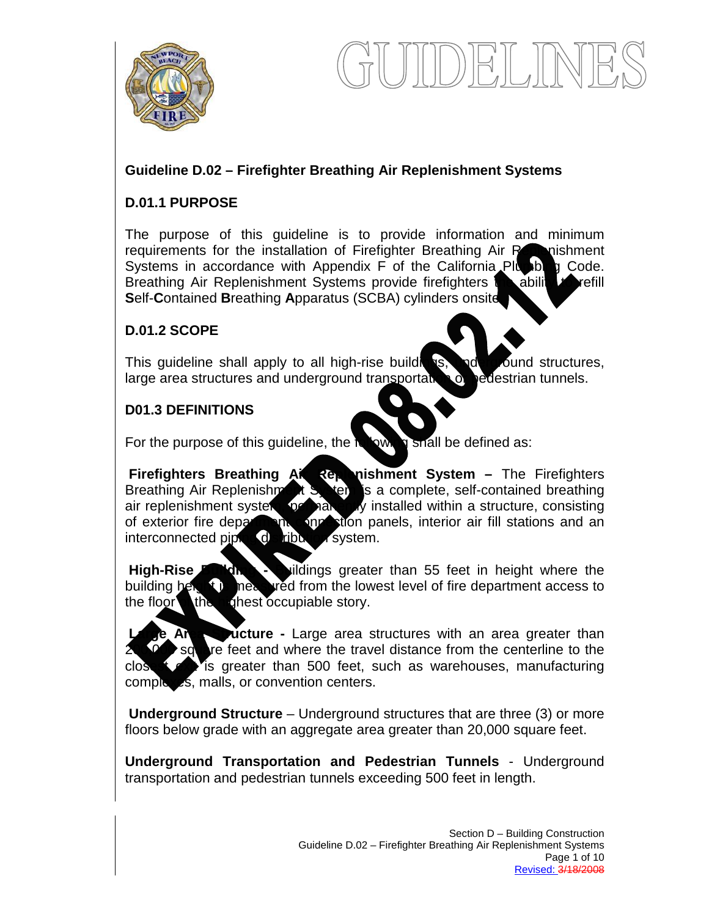

# **Guideline D.02 – Firefighter Breathing Air Replenishment Systems**

### **D.01.1 PURPOSE**

The purpose of this guideline is to provide information and minimum requirements for the installation of Firefighter Breathing Air Republishment Systems in accordance with Appendix F of the California Plumbing Code. Breathing Air Replenishment Systems provide firefighters the ability to refill **S**elf-**C**ontained **B**reathing **A**pparatus (SCBA) cylinders onsite.

### **D.01.2 SCOPE**

This guideline shall apply to all high-rise buildings, not ground structures, large area structures and underground transportation or pedestrian tunnels.

### **D01.3 DEFINITIONS**

For the purpose of this guideline, the  $\frac{1}{2}$  by shall be defined as:

**Firefighters Breathing Air Reponishment System –** The Firefighters Breathing Air Replenishment System is a complete, self-contained breathing air replenishment system, permanently installed within a structure, consisting of exterior fire department connection panels, interior air fill stations and an interconnected piping distribution system.

**High-Rise Buildings** Sylidings greater than 55 feet in height where the building height is measured from the lowest level of fire department access to the floor the  $\ln q$  hest occupiable story.

**Large -** Large area structures with an area greater than re feet and where the travel distance from the centerline to the close  $\triangle$  is greater than 500 feet, such as warehouses, manufacturing complexes, malls, or convention centers.

**Underground Structure** – Underground structures that are three (3) or more floors below grade with an aggregate area greater than 20,000 square feet.

**Underground Transportation and Pedestrian Tunnels** - Underground transportation and pedestrian tunnels exceeding 500 feet in length.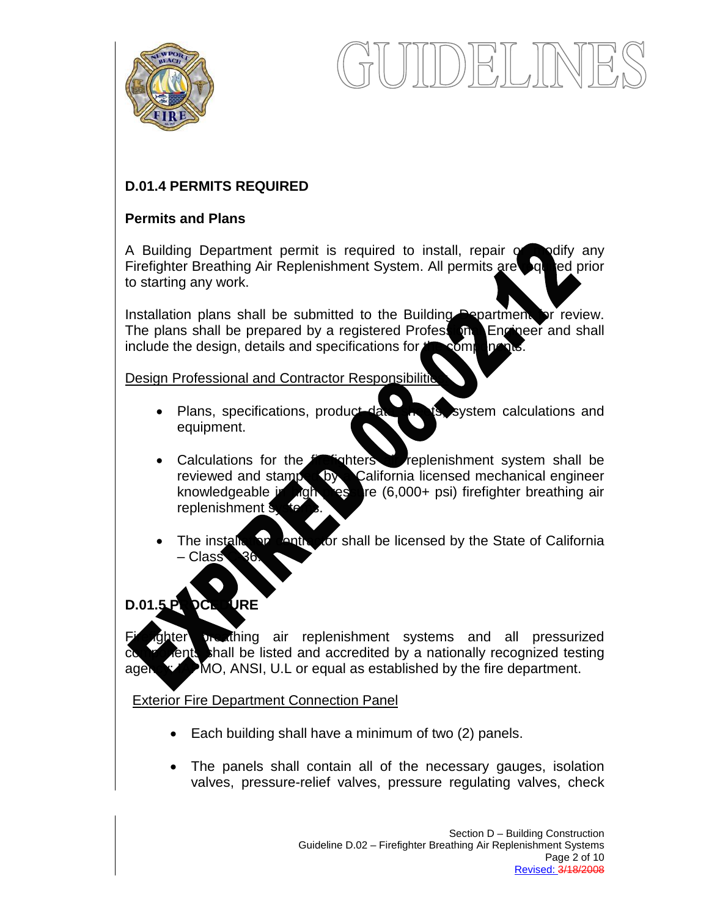

# **D.01.4 PERMITS REQUIRED**

### **Permits and Plans**

A Building Department permit is required to install, repair or modify any Firefighter Breathing Air Replenishment System. All permits are but led prior to starting any work.

Installation plans shall be submitted to the Building Department for review. The plans shall be prepared by a registered Professional Engineer and shall include the design, details and specifications for  $t \rightarrow \infty$  on

Design Professional and Contractor Responsibilitie

- Plans, specifications, product data she is, system calculations and equipment.
- Calculations for the **final state of the replenishment** system shall be reviewed and stamped by California licensed mechanical engineer knowledgeable in high pressure (6,000+ psi) firefighter breathing air replenishment s
- The installation contractor shall be licensed by the State of California – Class

# **D.01.5 PROCEDURE**

preathing air replenishment systems and all pressurized components is shall be listed and accredited by a nationally recognized testing agency; IMO, ANSI, U.L or equal as established by the fire department.

# Exterior Fire Department Connection Panel

- Each building shall have a minimum of two (2) panels.
- The panels shall contain all of the necessary gauges, isolation valves, pressure-relief valves, pressure regulating valves, check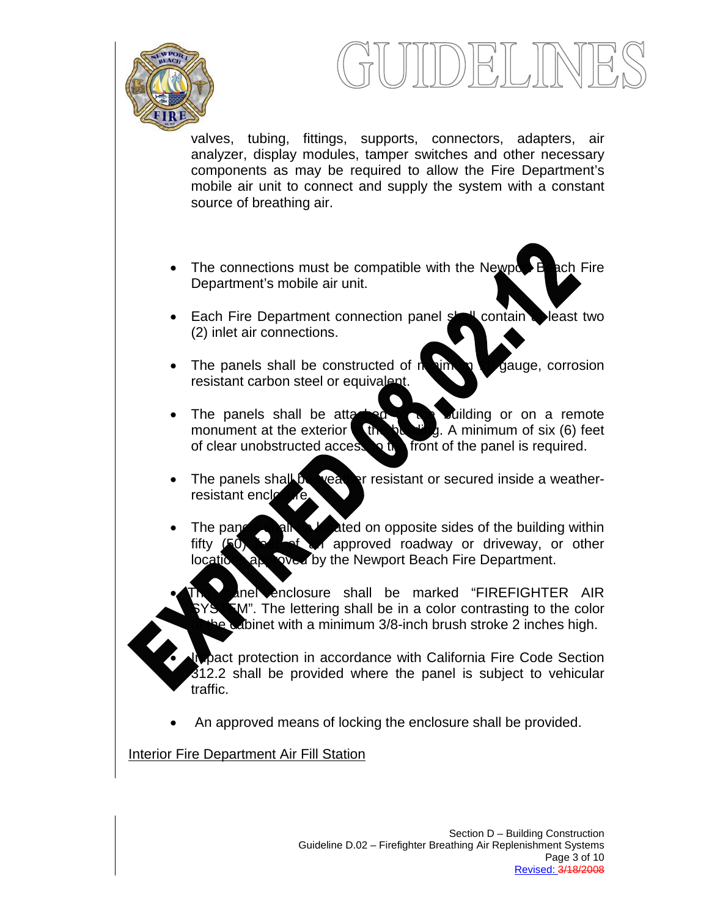

valves, tubing, fittings, supports, connectors, adapters, air analyzer, display modules, tamper switches and other necessary components as may be required to allow the Fire Department's mobile air unit to connect and supply the system with a constant source of breathing air.

- The connections must be compatible with the Newport Beach Fire Department's mobile air unit.
- Each Fire Department connection panel shall contain a least two (2) inlet air connections.
- The panels shall be constructed of minimum 19-gauge, corrosion resistant carbon steel or equivalent.
- The panels shall be attached to building or on a remote monument at the exterior of the building. A minimum of six (6) feet of clear unobstructed access to the front of the panel is required.
- The panels shall be weather resistant or secured inside a weatherresistant encle
- The panels shall be lated on opposite sides of the building within fifty (50) for of an approved roadway or driveway, or other locations approved by the Newport Beach Fire Department.
	- anel enclosure shall be marked "FIREFIGHTER AIR  $\mathbb{Z}$ M". The lettering shall be in a color contrasting to the color e cabinet with a minimum 3/8-inch brush stroke 2 inches high.

pact protection in accordance with California Fire Code Section 312.2 shall be provided where the panel is subject to vehicular traffic.

• An approved means of locking the enclosure shall be provided.

Interior Fire Department Air Fill Station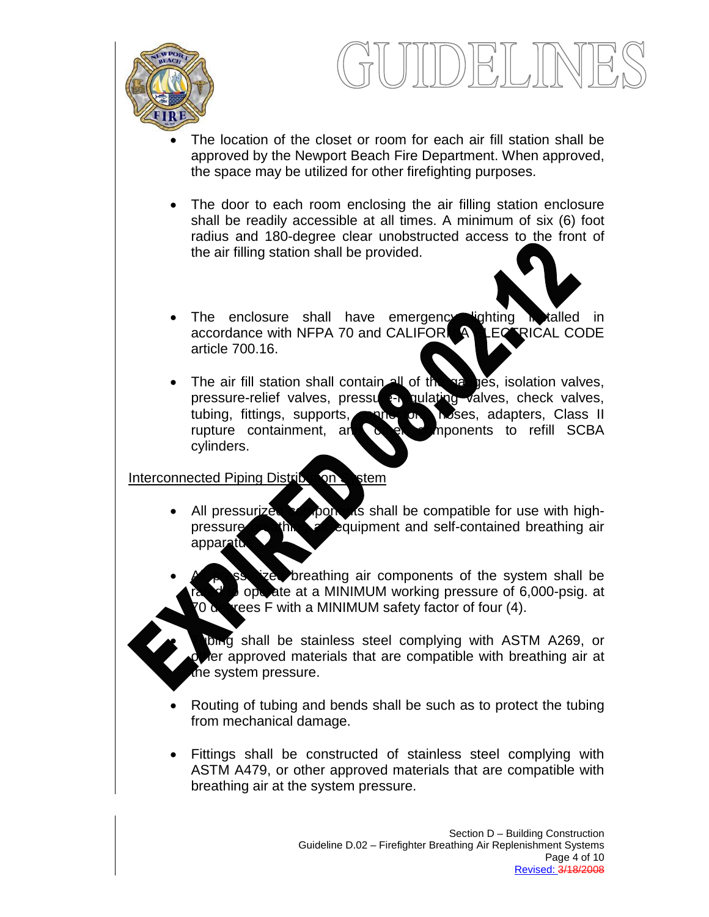



- The location of the closet or room for each air fill station shall be approved by the Newport Beach Fire Department. When approved, the space may be utilized for other firefighting purposes.
- The door to each room enclosing the air filling station enclosure shall be readily accessible at all times. A minimum of six (6) foot radius and 180-degree clear unobstructed access to the front of the air filling station shall be provided.
- The enclosure shall have emergency lighting in talled in accordance with NFPA 70 and CALIFORNIA LECTRICAL CODE article 700.16.
- The air fill station shall contain all of the gauges, isolation valves, pressure-relief valves, pressure pulating valves, check valves, tubing, fittings, supports, none or hoses, adapters, Class II rupture containment, and other components to refill SCBA cylinders.

Interconnected Piping Distribution Stem

- All pressurized components shall be compatible for use with highpressure breathing an equipment and self-contained breathing air apparatu
- breathing air components of the system shall be operate at a MINIMUM working pressure of 6,000-psig. at rees F with a MINIMUM safety factor of four (4).
	- bing shall be stainless steel complying with ASTM A269, or er approved materials that are compatible with breathing air at the system pressure.
- Routing of tubing and bends shall be such as to protect the tubing from mechanical damage.
- Fittings shall be constructed of stainless steel complying with ASTM A479, or other approved materials that are compatible with breathing air at the system pressure.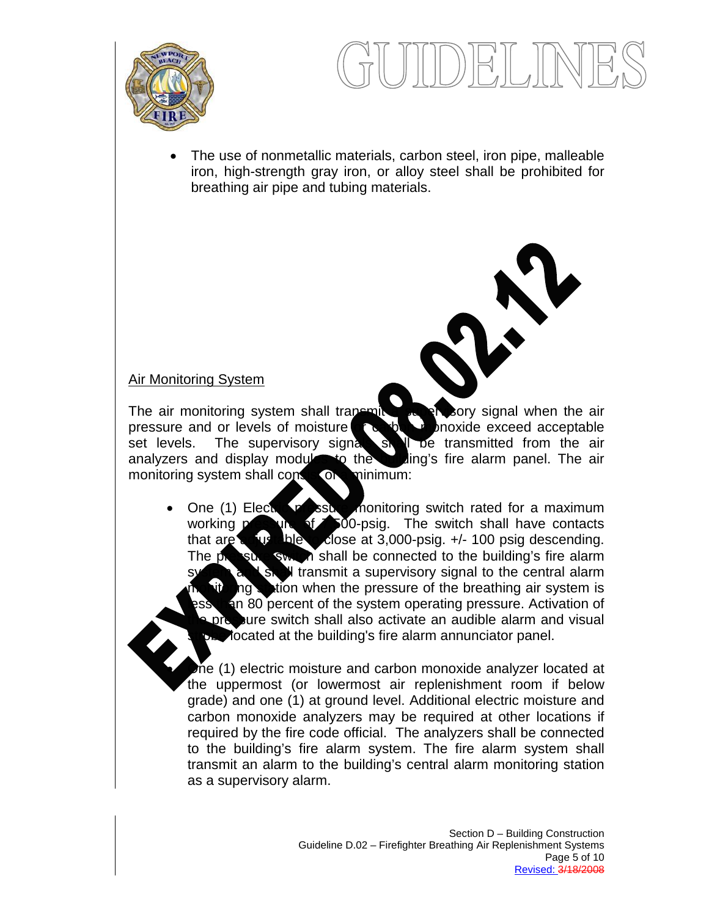

• The use of nonmetallic materials, carbon steel, iron pipe, malleable iron, high-strength gray iron, or alloy steel shall be prohibited for breathing air pipe and tubing materials.

### Air Monitoring System

The air monitoring system shall transmit a supervisory signal when the air pressure and or levels of moisture or carbon moxide exceed acceptable set levels. The supervisory signal signal in the transmitted from the air set levels. The supervisory signal shall be transmitted from the air analyzers and display modules to the building's fire alarm panel. The air monitoring system shall consist of a minimum:

One (1) Electric pressure monitoring switch rated for a maximum working pressure of 500-psig. The switch shall have contacts that are a just able to close at 3,000-psig.  $+/- 100$  psig descending. The pressure switch shall be connected to the building's fire alarm If transmit a supervisory signal to the central alarm  $\log$  stion when the pressure of the breathing air system is an 80 percent of the system operating pressure. Activation of pressure switch shall also activate an audible alarm and visual focated at the building's fire alarm annunciator panel.

the (1) electric moisture and carbon monoxide analyzer located at the uppermost (or lowermost air replenishment room if below grade) and one (1) at ground level. Additional electric moisture and carbon monoxide analyzers may be required at other locations if required by the fire code official. The analyzers shall be connected to the building's fire alarm system. The fire alarm system shall transmit an alarm to the building's central alarm monitoring station as a supervisory alarm.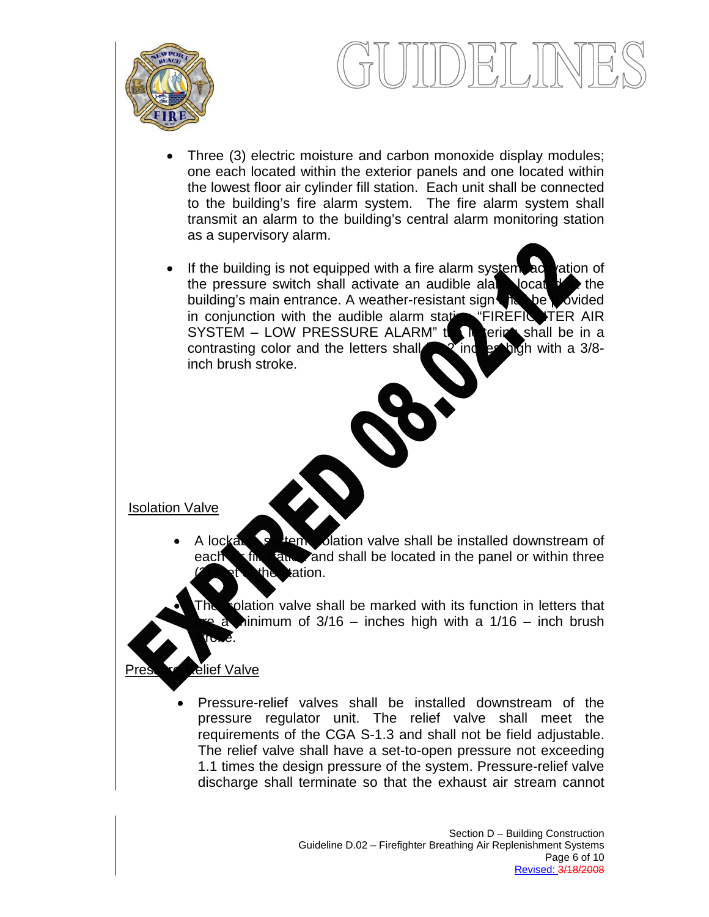

- Three (3) electric moisture and carbon monoxide display modules; one each located within the exterior panels and one located within the lowest floor air cylinder fill station. Each unit shall be connected to the building's fire alarm system. The fire alarm system shall transmit an alarm to the building's central alarm monitoring station as a supervisory alarm.
- If the building is not equipped with a fire alarm system, activation of the pressure switch shall activate an audible alarm located at the building's main entrance. A weather-resistant sign shall be provided in conjunction with the audible alarm stating "FIREFIGHTER AIR SYSTEM – LOW PRESSURE ALARM" the letter shall be in a contrasting color and the letters shall  $\sim 2$  increasing with a 3/8contrasting color and the letters shall  $\sim 2$  inch inch brush stroke.

Isolation Valve

- A lockable system volation valve shall be installed downstream of each  $\mathbf{f}$  fill station and shall be located in the panel or within three **tation.** 
	- plation valve shall be marked with its function in letters that hinimum of  $3/16$  – inches high with a  $1/16$  – inch brush stroke.

### Plief Valve

• Pressure-relief valves shall be installed downstream of the pressure regulator unit. The relief valve shall meet the requirements of the CGA S-1.3 and shall not be field adjustable. The relief valve shall have a set-to-open pressure not exceeding 1.1 times the design pressure of the system. Pressure-relief valve discharge shall terminate so that the exhaust air stream cannot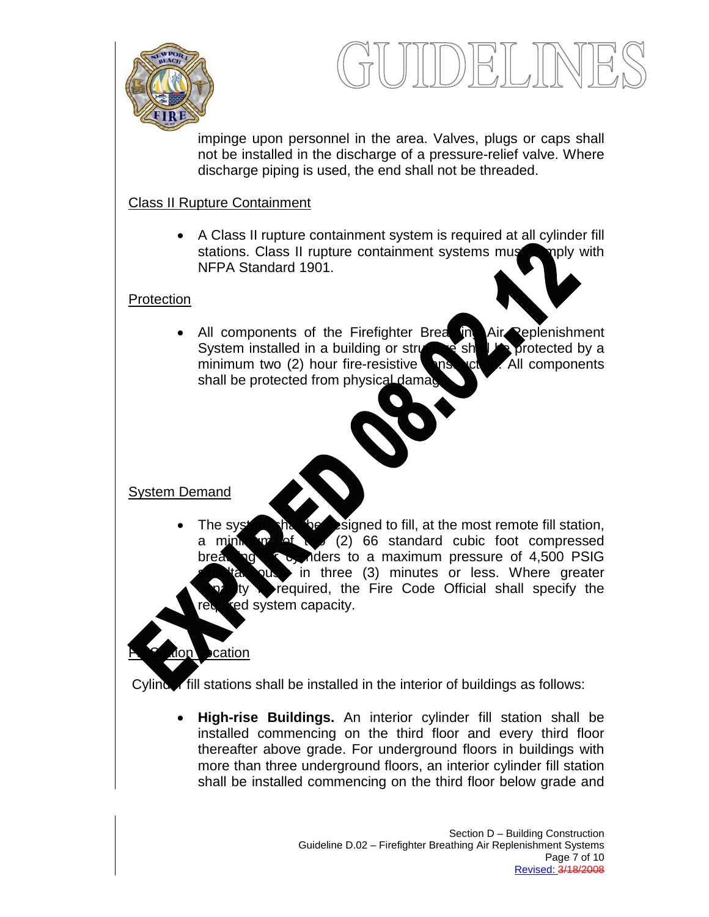



impinge upon personnel in the area. Valves, plugs or caps shall not be installed in the discharge of a pressure-relief valve. Where discharge piping is used, the end shall not be threaded.

### Class II Rupture Containment

• A Class II rupture containment system is required at all cylinder fill stations. Class II rupture containment systems must comply with NFPA Standard 1901.

### Protection

• All components of the Firefighter Breathing Air Replenishment System installed in a building or structure shall be protected by a minimum two (2) hour fire-resistive **construction.** All components shall be protected from physical damage

### System Demand

:ation

The system shall be designed to fill, at the most remote fill station, a minimum of  $\sqrt{2}$  (2) 66 standard cubic foot compressed breathing a cylinders to a maximum pressure of 4,500 PSIG in three (3) minutes or less. Where greater required, the Fire Code Official shall specify the red system capacity.

#### Cylinder fill stations shall be installed in the interior of buildings as follows:

• **High-rise Buildings.** An interior cylinder fill station shall be installed commencing on the third floor and every third floor thereafter above grade. For underground floors in buildings with more than three underground floors, an interior cylinder fill station shall be installed commencing on the third floor below grade and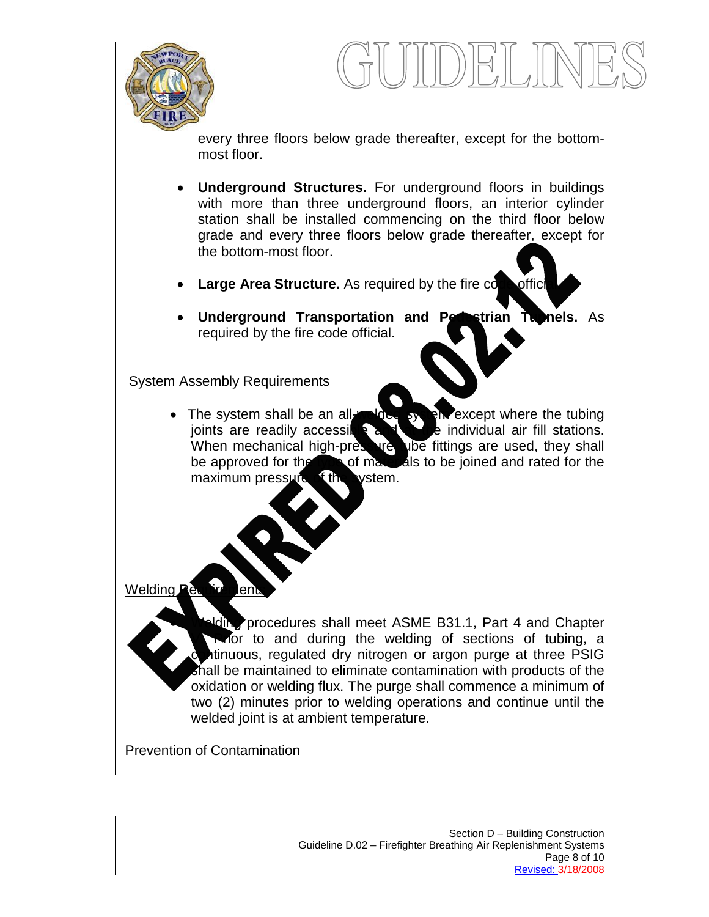

every three floors below grade thereafter, except for the bottommost floor.

- **Underground Structures.** For underground floors in buildings with more than three underground floors, an interior cylinder station shall be installed commencing on the third floor below grade and every three floors below grade thereafter, except for the bottom-most floor.
- **Large Area Structure.** As required by the fire conception
- **Underground Transportation and Perostrian Tunnels.** As required by the fire code official.

#### **System Assembly Requirements**

• The system shall be an all-welded system except where the tubing joints are readily accessible and  $\frac{1}{2}$  and  $\frac{1}{2}$  e individual air fill stations. joints are readily accessible and be individual air fill stations.<br>When mechanical high-preserve the fittings are used, they shall pressure when fittings are used, they shall be approved for the type of materials to be joined and rated for the maximum pressure  $f$  the vstem.

Welding,

Iding procedures shall meet ASME B31.1, Part 4 and Chapter V. Prior to and during the welding of sections of tubing, a tinuous, regulated dry nitrogen or argon purge at three PSIG shall be maintained to eliminate contamination with products of the oxidation or welding flux. The purge shall commence a minimum of two (2) minutes prior to welding operations and continue until the welded joint is at ambient temperature.

**Prevention of Contamination**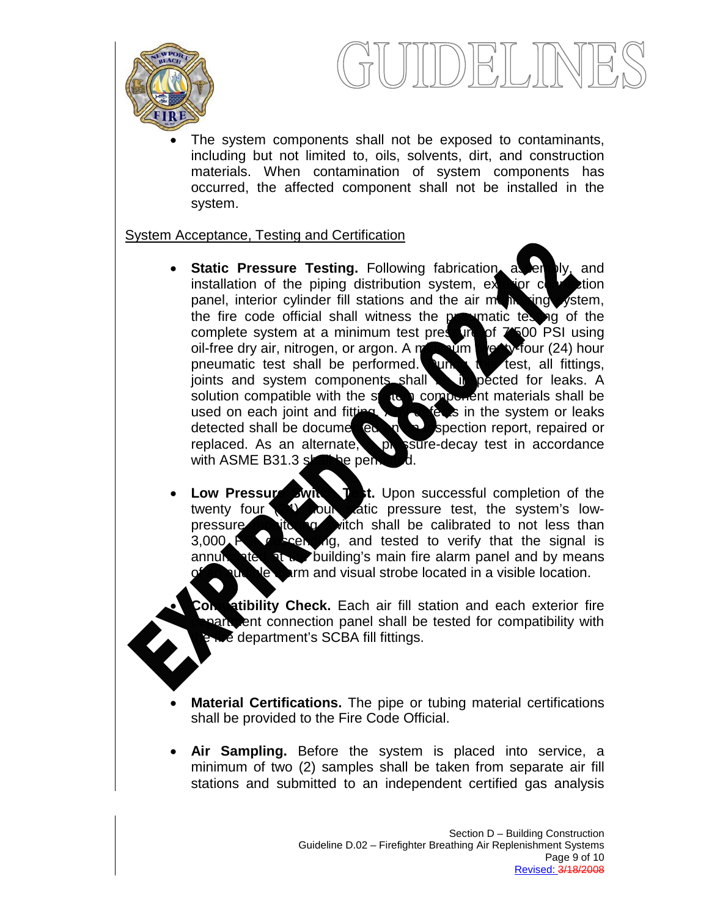



The system components shall not be exposed to contaminants, including but not limited to, oils, solvents, dirt, and construction materials. When contamination of system components has occurred, the affected component shall not be installed in the system.

#### System Acceptance, Testing and Certification

- **Static Pressure Testing.** Following fabrication, as emply, and installation of the piping distribution system, exterior cl panel, interior cylinder fill stations and the air  $m$  in  $\frac{1}{2}$  ystem, the fire code official shall witness the programatic testing of the complete system at a minimum test pressure of  $7500$  PSI using oil-free dry air, nitrogen, or argon. A minimum the ty-four (24) hour pneumatic test shall be performed. Unit to test, all fittings, joints and system components shall be in pected for leaks. A solution compatible with the state a component materials shall be used on each joint and fitting. Any decks in the system or leaks detected shall be documented. The spection report, repaired or detected shall be documented on an inspection report, repaired or replaced. As an alternate, pressure-decay test in accordance replaced. As an alternate, pressure-decay test in accordance with ASME B31.3  $s$ hall be permitted.
- **Low Pressure Switch Test.** Upon successful completion of the twenty four **COM** catic pressure test, the system's lowtour tatic pressure test, the system's lowpressure monitoring witch shall be calibrated to not less than 3,000 PSI descending, and tested to verify that the signal is annunciated at  $\kappa$  building's main fire alarm panel and by means of and visual strobe located in a visible location.
	- **Atibility Check.** Each air fill station and each exterior fire ent connection panel shall be tested for compatibility with  $\epsilon$  department's SCBA fill fittings.
- **Material Certifications.** The pipe or tubing material certifications shall be provided to the Fire Code Official.
- **Air Sampling.** Before the system is placed into service, a minimum of two (2) samples shall be taken from separate air fill stations and submitted to an independent certified gas analysis